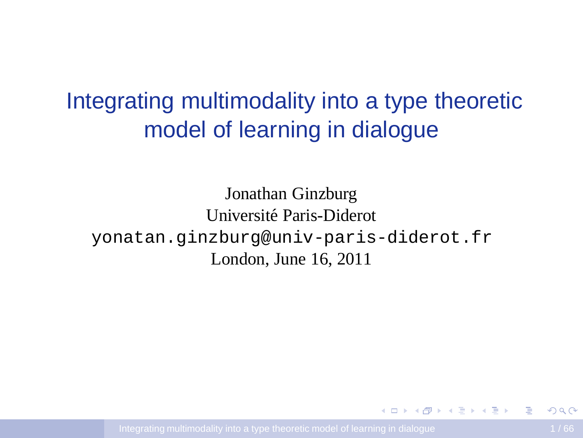# Integrating multimodality into a type theoretic model of learning in dialogue

Jonathan Ginzburg Université Paris-Diderot yonatan.ginzburg@univ-paris-diderot.fr London, June 16, 2011

<span id="page-0-0"></span>÷.

イロト イ押 トイヨ トイヨ トー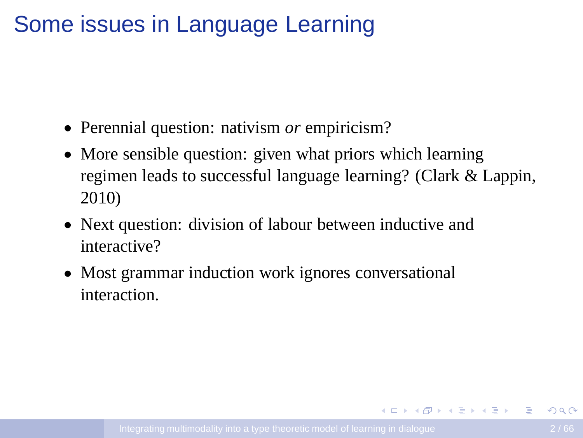## Some issues in Language Learning

- Perennial question: nativism *or* empiricism?
- More sensible question: given what priors which learning regimen leads to successful language learning? (Clark & Lappin, 2010)
- Next question: division of labour between inductive and interactive?
- Most grammar induction work ignores conversational interaction.

**KORK ERKERK ER KRENE**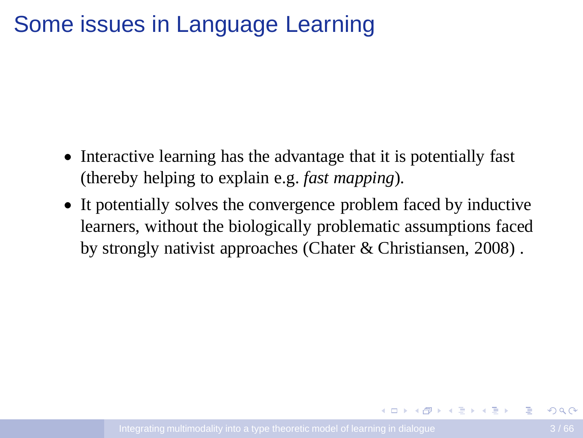## Some issues in Language Learning

- Interactive learning has the advantage that it is potentially fast (thereby helping to explain e.g. *fast mapping*).
- It potentially solves the convergence problem faced by inductive learners, without the biologically problematic assumptions faced by strongly nativist approaches (Chater & Christiansen, 2008) .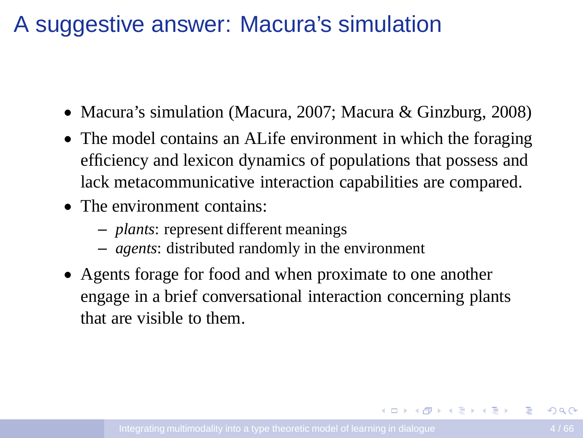## A suggestive answer: Macura's simulation

- Macura's simulation (Macura, 2007; Macura & Ginzburg, 2008)
- The model contains an ALife environment in which the foraging efficiency and lexicon dynamics of populations that possess and lack metacommunicative interaction capabilities are compared.
- The environment contains:
	- *plants*: represent different meanings
	- *agents*: distributed randomly in the environment
- Agents forage for food and when proximate to one another engage in a brief conversational interaction concerning plants that are visible to them.

**KORK EXTERNE MORE**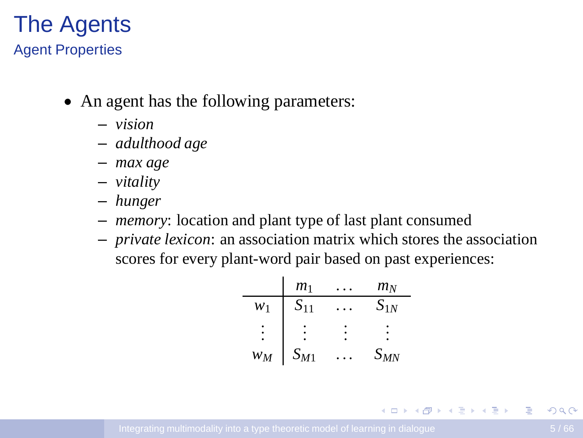#### The Agents Agent Properties

- An agent has the following parameters:
	- *vision*
	- *adulthood age*
	- *max age*
	- *vitality*
	- *hunger*
	- *memory*: location and plant type of last plant consumed
	- *private lexicon*: an association matrix which stores the association scores for every plant-word pair based on past experiences:

| $m_1$    | ...      | $m_N$    |          |
|----------|----------|----------|----------|
| $w_1$    | $S_{11}$ | ...      | $S_{1N}$ |
| $\vdots$ | $\vdots$ | $\vdots$ | $\vdots$ |
| $w_M$    | $S_{M1}$ | ...      | $S_{MN}$ |

 $\equiv$ 

イロト イ押 トイヨ トイヨ トー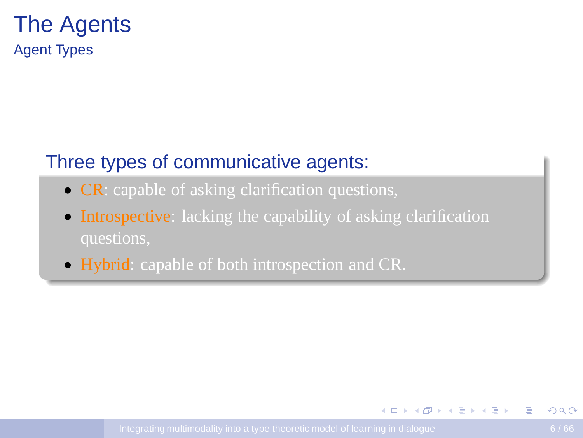#### The Agents Agent Types

#### Three types of communicative agents:

- **CR**: capable of asking clarification questions,
- Introspective: lacking the capability of asking clarification
- Hybrid: capable of both introspection and CR.

イロト イ押ト イヨト イヨト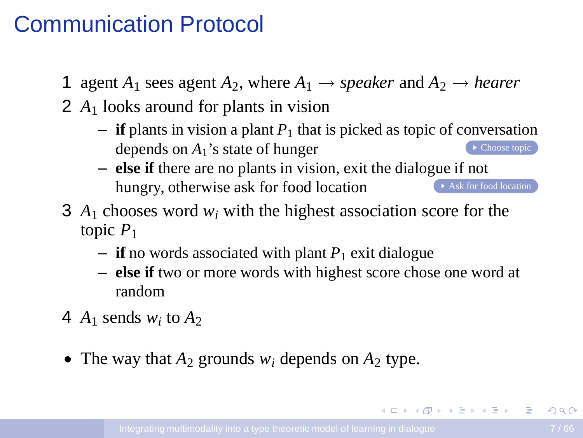#### Communication Protocol

- 1 agent  $A_1$  sees agent  $A_2$ , where  $A_1 \rightarrow \text{speaker}$  and  $A_2 \rightarrow \text{hearer}$
- 2 *A*<sup>1</sup> looks around for plants in vision
	- $-$  **if** plants in vision a plant  $P_1$  that is picked as topic of conversation depends on  $A_1$ 's state of hunger
	- **else if** there are no plants in vision, exit the dialogue if not hungry, otherwise ask for food location Ask for food location
- 3 *A*<sup>1</sup> chooses word *w<sup>i</sup>* with the highest association score for the topic *P*<sup>1</sup>
	- $-$  **if** no words associated with plant  $P_1$  exit dialogue
	- **else if** two or more words with highest score chose one word at random
- 4  $A_1$  sends  $w_i$  to  $A_2$
- The way that  $A_2$  grounds  $w_i$  depends on  $A_2$  type.

イロメイタメイミメイミメーヨー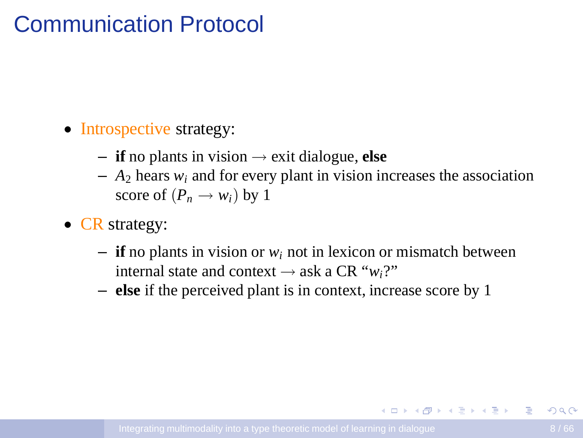## Communication Protocol

- Introspective strategy:
	- $-$  **if** no plants in vision  $\rightarrow$  exit dialogue, **else**
	- $-$  *A*<sub>2</sub> hears *w<sub>i</sub>* and for every plant in vision increases the association score of  $(P_n \rightarrow w_i)$  by 1
- **CR** strategy:
	- **if** no plants in vision or *w<sup>i</sup>* not in lexicon or mismatch between internal state and context  $\rightarrow$  ask a CR " $w_i$ ?"
	- **else** if the perceived plant is in context, increase score by 1

**KORK ERKERK ER KRENE**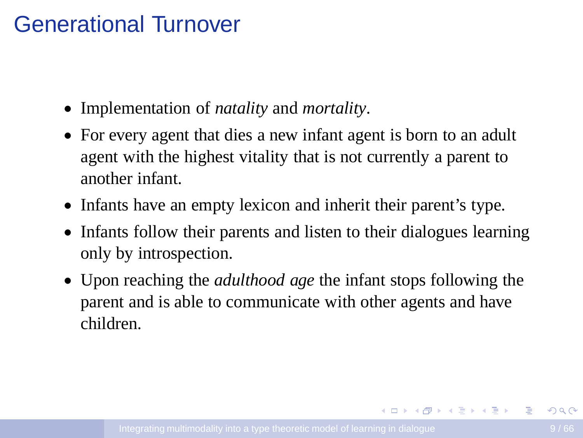## Generational Turnover

- Implementation of *natality* and *mortality*.
- For every agent that dies a new infant agent is born to an adult agent with the highest vitality that is not currently a parent to another infant.
- Infants have an empty lexicon and inherit their parent's type.
- Infants follow their parents and listen to their dialogues learning only by introspection.
- Upon reaching the *adulthood age* the infant stops following the parent and is able to communicate with other agents and have children.

**KORK ERKERKERKER**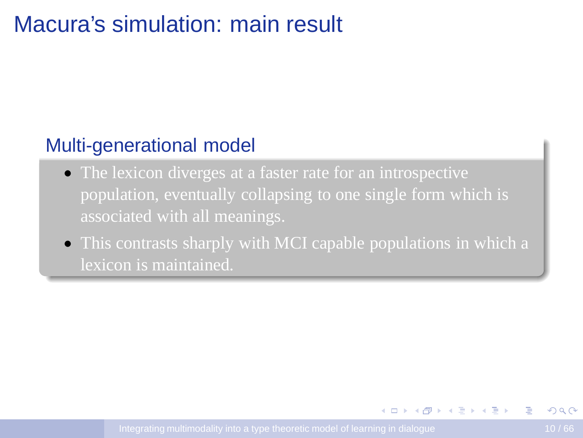## Macura's simulation: main result

#### Multi-generational model

- The lexicon diverges at a faster rate for an introspective population, eventually collapsing to one single form which is
- This contrasts sharply with MCI capable populations in which a lexicon is maintained.

イロト イ押 トイヨ トイヨ トー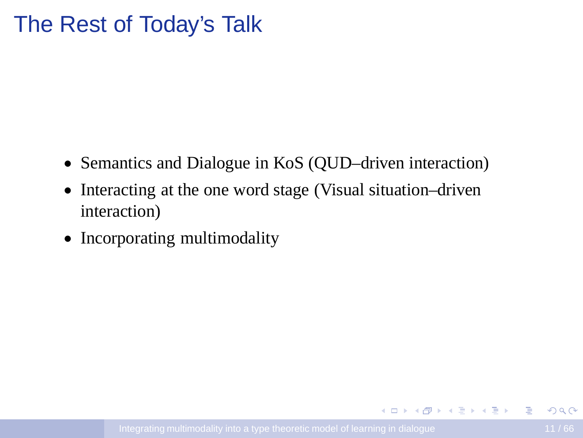#### The Rest of Today's Talk

- Semantics and Dialogue in KoS (QUD–driven interaction)
- Interacting at the one word stage (Visual situation–driven interaction)
- Incorporating multimodality

イロメ (例) マミメマミメーキー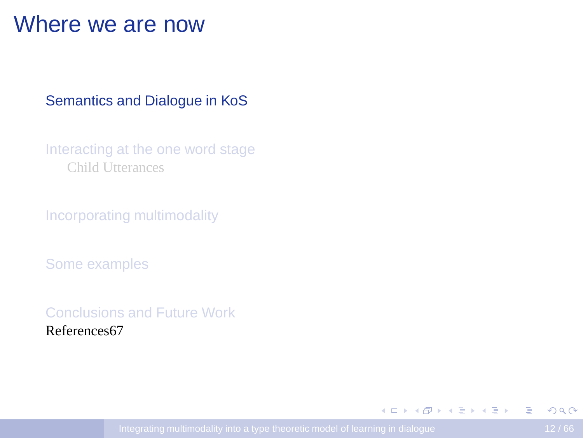#### Where we are now

#### [Semantics and Dialogue in KoS](#page-11-0)

[Interacting at the one word stage](#page-33-0) [Child Utterances](#page-34-0)

[Incorporating multimodality](#page-45-0)

[Some examples](#page-50-0)

[Conclusions and Future Work](#page-63-0) References67

<span id="page-11-0"></span> $\mathbf{E} = \mathbf{A} \oplus \mathbf{A} + \mathbf{A} \oplus \mathbf{A} + \mathbf{A} \oplus \mathbf{A} + \mathbf{A} \oplus \mathbf{A}$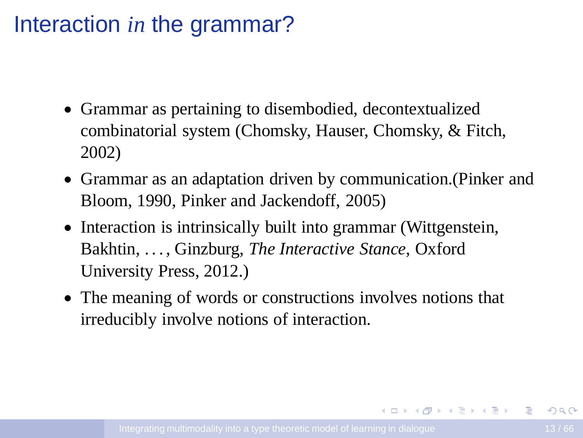## Interaction *in* the grammar?

- Grammar as pertaining to disembodied, decontextualized combinatorial system (Chomsky, Hauser, Chomsky, & Fitch, 2002)
- Grammar as an adaptation driven by communication.(Pinker and Bloom, 1990, Pinker and Jackendoff, 2005)
- Interaction is intrinsically built into grammar (Wittgenstein, Bakhtin, . . . , Ginzburg, *The Interactive Stance*, Oxford University Press, 2012.)
- The meaning of words or constructions involves notions that irreducibly involve notions of interaction.

**KORK ERKERKERKER**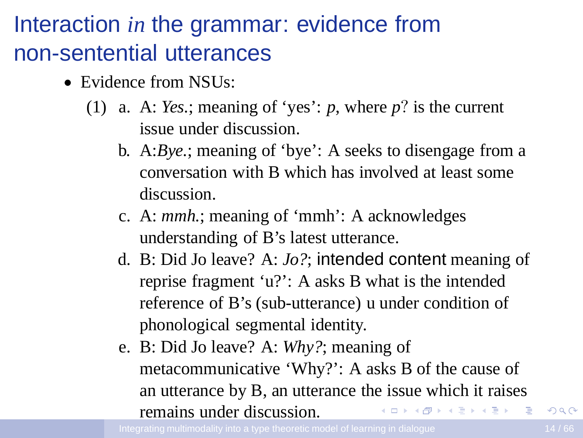# Interaction *in* the grammar: evidence from non-sentential utterances

- Evidence from NSU<sub>s</sub>:
	- (1) a. A: *Yes.*; meaning of 'yes': *p*, where *p*? is the current issue under discussion.
		- b. A:*Bye.*; meaning of 'bye': A seeks to disengage from a conversation with B which has involved at least some discussion.
		- c. A: *mmh.*; meaning of 'mmh': A acknowledges understanding of B's latest utterance.
		- d. B: Did Jo leave? A: *Jo?*; intended content meaning of reprise fragment 'u?': A asks B what is the intended reference of B's (sub-utterance) u under condition of phonological segmental identity.
		- e. B: Did Jo leave? A: *Why?*; meaning of metacommunicative 'Why?': A asks B of the cause of an utterance by B, an utterance the issue which it raises remains under discussion.  $\mathbf{A} = \mathbf{A} \oplus \mathbf{A} \oplus \mathbf{A} \oplus \mathbf{A} \oplus \mathbf{A} \oplus \mathbf{A}$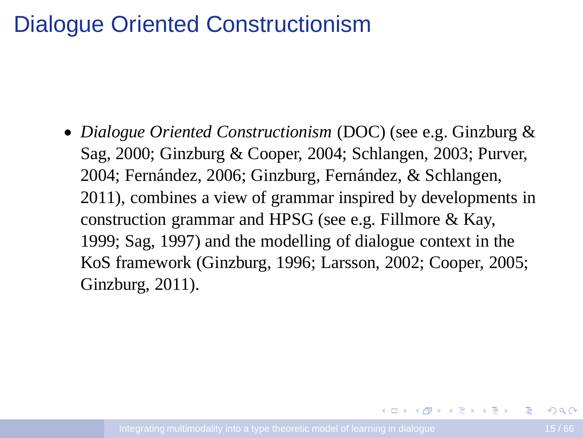#### Dialogue Oriented Constructionism

• *Dialogue Oriented Constructionism* (DOC) (see e.g. Ginzburg & Sag, 2000; Ginzburg & Cooper, 2004; Schlangen, 2003; Purver, 2004; Fernández, 2006; Ginzburg, Fernández, & Schlangen, 2011), combines a view of grammar inspired by developments in construction grammar and HPSG (see e.g. Fillmore & Kay, 1999; Sag, 1997) and the modelling of dialogue context in the KoS framework (Ginzburg, 1996; Larsson, 2002; Cooper, 2005; Ginzburg, 2011).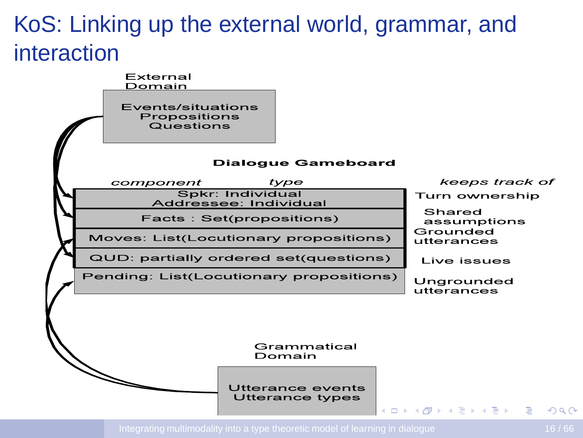# KoS: Linking up the external world, grammar, and interaction

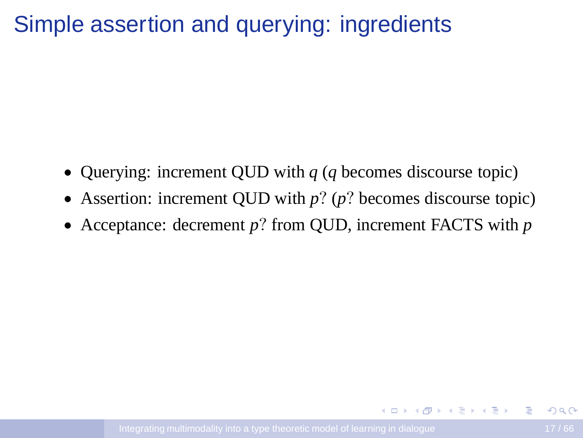## Simple assertion and querying: ingredients

- Querying: increment QUD with *q* (*q* becomes discourse topic)
- Assertion: increment QUD with *p*? (*p*? becomes discourse topic)
- Acceptance: decrement *p*? from QUD, increment FACTS with *p*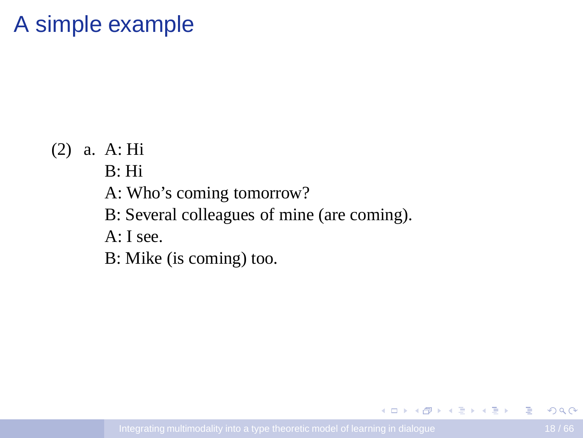## A simple example

(2) a. A: Hi

B: Hi

A: Who's coming tomorrow?

B: Several colleagues of mine (are coming).

A: I see.

B: Mike (is coming) too.

÷.

イロト イ押 トイヨ トイヨ トー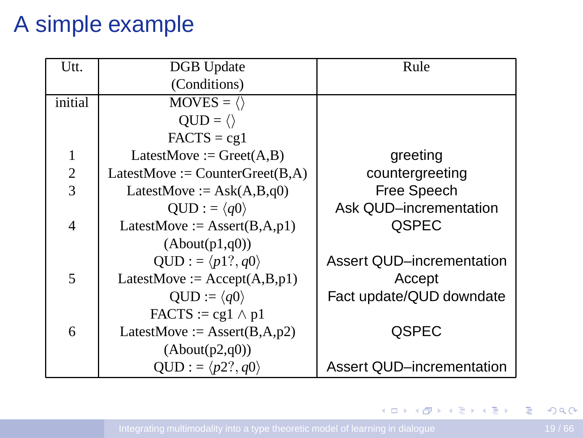# A simple example

| Utt.    | <b>DGB</b> Update                       | Rule                      |
|---------|-----------------------------------------|---------------------------|
|         | (Conditions)                            |                           |
| initial | $MOVES = \langle \rangle$               |                           |
|         | $QUD = \langle \rangle$                 |                           |
|         | $FACTS = cg1$                           |                           |
| 1       | LatestMove := $Greet(A, B)$             | greeting                  |
| 2       | LatestMove := $CounterGreet(B,A)$       | countergreeting           |
| 3       | LatestMove := $Ask(A,B,q0)$             | Free Speech               |
|         | $OUD := \langle q0 \rangle$             | Ask QUD-incrementation    |
| 4       | LatestMove := $\text{assert}(B, A, p1)$ | <b>OSPEC</b>              |
|         | (About(p1,q0))                          |                           |
|         | $QUD := \langle p1?, q0 \rangle$        | Assert QUD-incrementation |
| 5       | LatestMove := $Accept(A, B, p1)$        | Accept                    |
|         | $OUD := \langle q0 \rangle$             | Fact update/QUD downdate  |
|         | $FACTS := cg1 \wedge p1$                |                           |
| 6       | LatestMove := $\text{assert}(B,A,p2)$   | <b>OSPEC</b>              |
|         | (About(p2,q0))                          |                           |
|         | $QUD := \langle p2?, q0 \rangle$        | Assert QUD-incrementation |

**K ロ ▶ K 倒 ▶ K 重 ▶ K 重 ▶ 一重**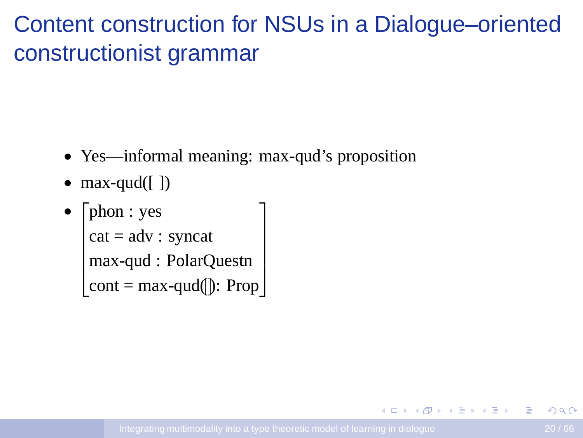# Content construction for NSUs in a Dialogue–oriented constructionist grammar

- Yes—informal meaning: max-qud's proposition
- $max-qud([ )$
- $\sqrt{ }$  $\begin{array}{c} \begin{array}{c} \begin{array}{c} \end{array} \\ \begin{array}{c} \end{array} \end{array} \end{array}$ phon : yes cat = adv : syncat max-qud : PolarQuestn cont = max-qud([]): Prop 1  $\begin{array}{c} \begin{array}{c} \begin{array}{c} \begin{array}{c} \end{array} \\ \end{array} \end{array} \end{array}$

**ADAM BAKER**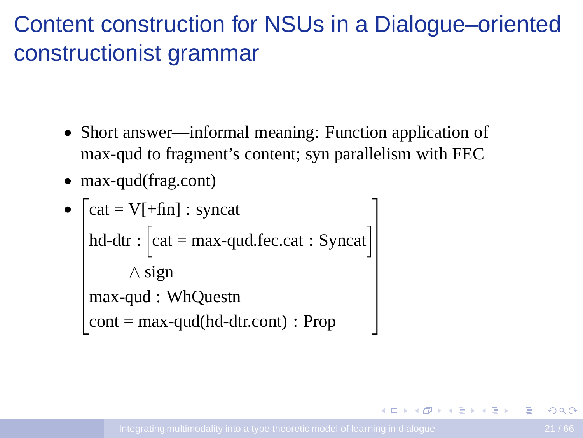# Content construction for NSUs in a Dialogue–oriented constructionist grammar

- Short answer—informal meaning: Function application of max-qud to fragment's content; syn parallelism with FEC
- max-qud(frag.cont)

```
• ⊺

               cat = V[+fin] : syncat
               hd-dtr : \begin{bmatrix} cat = max-qud.fec.cat : Syncat \end{bmatrix}∧ sign
               max-qud : WhQuestn
               cont = max-qud(hd-dtr.cont) : Prop
                                                                                                                                                                                          1
                                                                                                                                                                                          \begin{array}{c|c|c|c|c|c} \hline \multicolumn{1}{c|c|}{\multicolumn{1}{c|c|}{\multicolumn{1}{c|c|}{\multicolumn{1}{c|c|}{\multicolumn{1}{c|c|}{\multicolumn{1}{c|c|}{\multicolumn{1}{c|c|}{\multicolumn{1}{c|c|}{\multicolumn{1}{c|c|}{\multicolumn{1}{c|c|}{\multicolumn{1}{c|c|}{\multicolumn{1}{c|c|}{\multicolumn{1}{c|c|}{\multicolumn{1}{c|c|}{\multicolumn{1}{c|c|}{\multicolumn{1}{c|c|}{\multicolumn{1}{c
```
4 ロ ) 4 何 ) 4 ヨ ) 4 ヨ )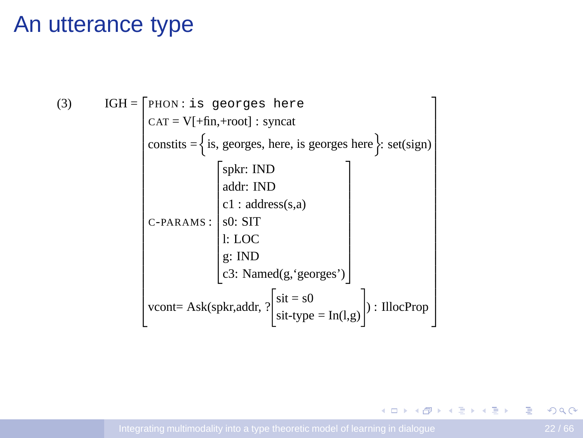#### An utterance type

(3)

\n
$$
IGH = \n\begin{bmatrix}\nPHON: is georges here \\
CAT = V[+fin, +root]: syncat \\
\text{constits} = \n\begin{cases}\n\text{is, georges, here, is georges here} \\
\text{is, georges, here, is georges here}\n\end{cases}\n\end{bmatrix}
$$
\nSelf (sign)

\n
$$
\begin{bmatrix}\n\text{spkr: IND} \\
\text{addr: IND} \\
\text{c1 : address(s, a)} \\
\text{c1 : address(s, a)} \\
\text{c2: Named(g, 'georges')}\n\end{bmatrix}
$$
\nroot = Ask(spkr, addr, ?\n\begin{bmatrix}\n\text{sit} = s0 \\
\text{sit-type} = \text{In}(l,g)\n\end{bmatrix}\n: IlocProp

**K ロ ▶ K 御 ▶ K 重 ▶ K 重 ▶ │ 重**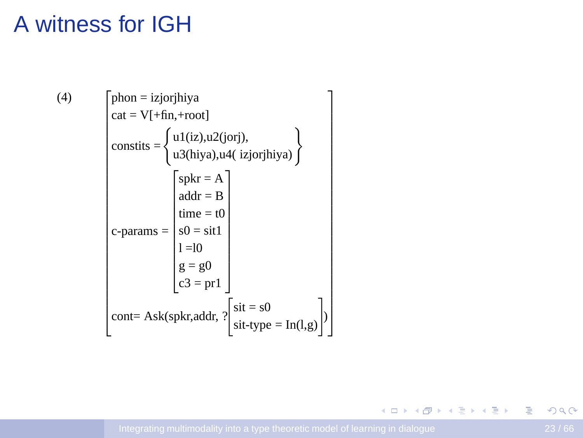# A witness for IGH

 $(4)$ 

phon = izjorjhiya

\n
$$
cat = V[+fin, +root]
$$
\nconstits = { $u1(iz), u2(jori),$ 

\n $u3(hiya), u4(izjorihiya)$ }\n
$$
s = {split}
$$
\n
$$
sc_1 = b
$$
\n
$$
sc_2 = b
$$
\n
$$
sc_3 = b
$$
\n
$$
c_4 = b
$$
\n
$$
c_5 = b
$$
\n
$$
c_6 = b
$$
\n
$$
c_7 = b
$$
\n
$$
c_8 = 0
$$
\n
$$
c_9 = 0
$$
\n
$$
c_1 = 0
$$
\n
$$
c_2 = p_1
$$
\n
$$
c_3 = p_2
$$
\n
$$
c_4 = 0
$$
\n
$$
c_5 = p_3
$$
\n
$$
c_6 = p_4
$$
\n
$$
c_7 = p_5
$$
\n
$$
c_8 = p_6
$$
\n
$$
c_9 = p_7
$$
\n
$$
c_1 = a_2
$$
\n
$$
c_2 = p_7
$$
\n
$$
c_3 = p_7
$$
\n
$$
c_4 = p_6
$$
\n
$$
c_5 = p_7
$$
\n
$$
c_6 = p_7
$$
\n
$$
c_7 = p_8
$$
\n
$$
c_8 = p_9
$$
\n
$$
c_9 = p_0
$$
\n
$$
c_1 = p_0
$$
\n
$$
c_1 = p_0
$$
\n
$$
c_2 = p_1
$$
\n
$$
c_3 = p_1
$$
\n
$$
c_4 = p_0
$$
\n
$$
c_5 = p_1
$$
\n
$$
c_6 = p_1
$$
\n
$$
c_7 = p_2
$$
\n
$$
c_8 = p_3
$$
\n
$$
c_9 = p_4
$$
\n
$$
c_9 = p_5
$$
\n
$$
c_1 = p_6
$$
\n
$$
c_1 = p_6
$$
\n
$$
c_2
$$

 $\overline{1}$  $\mathcal{L}$  $\mathbf{r}$  $\mathbf{r}$ 7  $\mathbf{r}$  $\mathbf{r}$  $\mathbf{r}$  $\mathcal{L}$  $\mathbf{r}$  $\mathbf{r}$  $\mathbf{r}$  $\mathbf{r}$  $\mathbf{r}$  $\mathbf{r}$  $\mathbf{r}$  $\mathbf{r}$  $\mathbf{r}$  $\mathbf{r}$ 7  $\mathbf{r}$  $\mathbf{r}$  $\mathbf{r}$ 7  $\mathbf{r}$  $\mathbf{r}$  $\mathbf{r}$ 1

重

イロトス部 トスミドスミドー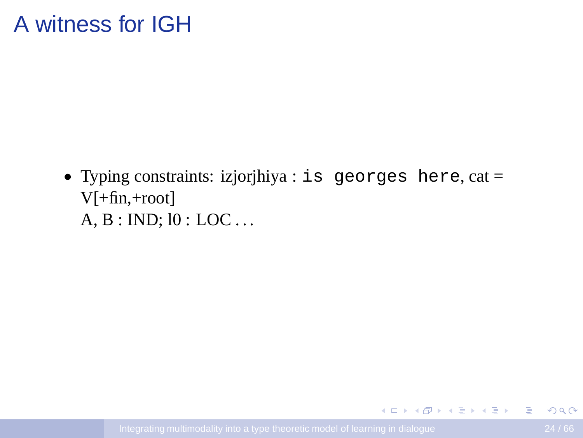#### A witness for IGH

• Typing constraints: izjorjhiya : is georges here, cat = V[+fin,+root] A, B : IND; l0 : LOC . . .

イロメ (例) マミメマミメーキー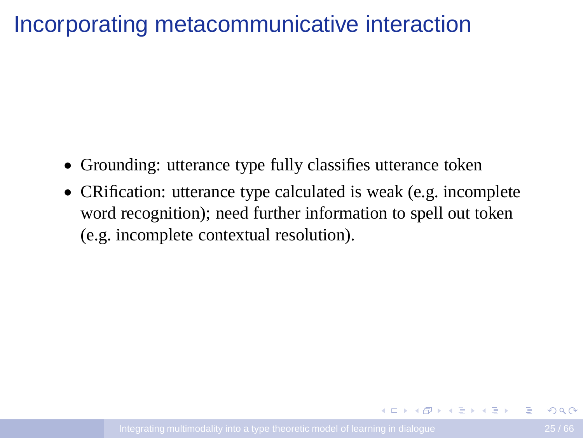## Incorporating metacommunicative interaction

- Grounding: utterance type fully classifies utterance token
- CRification: utterance type calculated is weak (e.g. incomplete word recognition); need further information to spell out token (e.g. incomplete contextual resolution).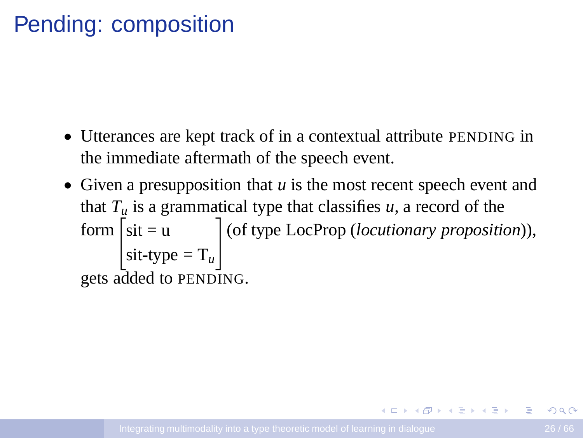## Pending: composition

- Utterances are kept track of in a contextual attribute PENDING in the immediate aftermath of the speech event.
- Given a presupposition that *u* is the most recent speech event and that  $T_u$  is a grammatical type that classifies  $u$ , a record of the form  $\int$ sit = u  $s$ it-type =  $T_u$ # (of type LocProp (*locutionary proposition*)), gets added to PENDING.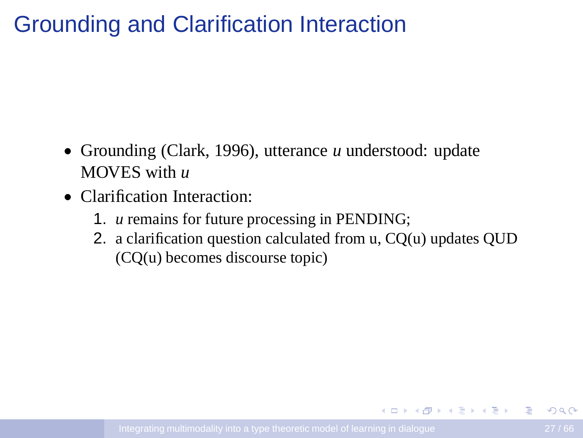# Grounding and Clarification Interaction

- Grounding (Clark, 1996), utterance *u* understood: update MOVES with *u*
- Clarification Interaction:
	- 1. *u* remains for future processing in PENDING;
	- 2. a clarification question calculated from u, CO(u) updates OUD (CQ(u) becomes discourse topic)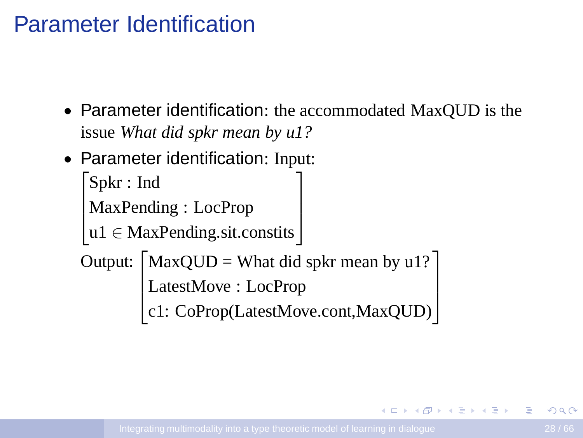#### Parameter Identification

- Parameter identification: the accommodated MaxQUD is the issue *What did spkr mean by u1?*
- Parameter identification: Input:

```

Spkr : Ind
\overline{\phantom{a}}MaxPending : LocProp
                                                             1
                                                             \overline{\phantom{a}}
```

```
u1 ∈ MaxPending.sit.constits
```
Output:  $\lceil$  $\vert$ MaxQUD = What did spkr mean by u1? LatestMove : LocProp c1: CoProp(LatestMove.cont,MaxQUD) 1  $\overline{\phantom{a}}$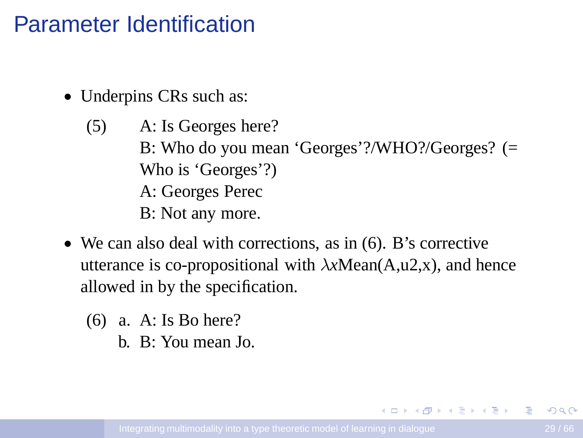#### Parameter Identification

- Underpins CRs such as:
	- (5) A: Is Georges here? B: Who do you mean 'Georges'?/WHO?/Georges? (= Who is 'Georges'?) A: Georges Perec B: Not any more.
- We can also deal with corrections, as in (6). B's corrective utterance is co-propositional with λ*x*Mean(A,u2,x), and hence allowed in by the specification.
	- (6) a. A: Is Bo here?
		- b. B: You mean Jo.

イロト イ押ト イヨト イヨト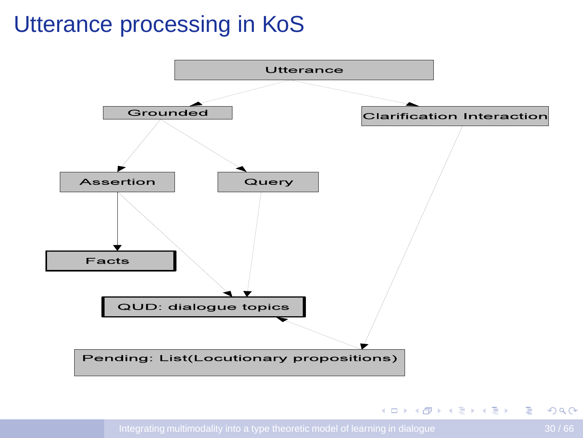# Utterance processing in KoS

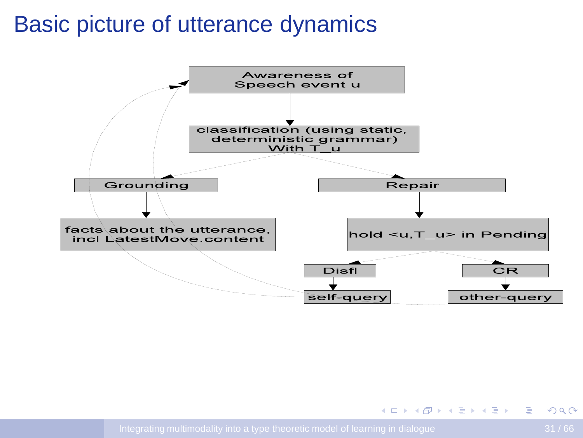#### Basic picture of utterance dynamics

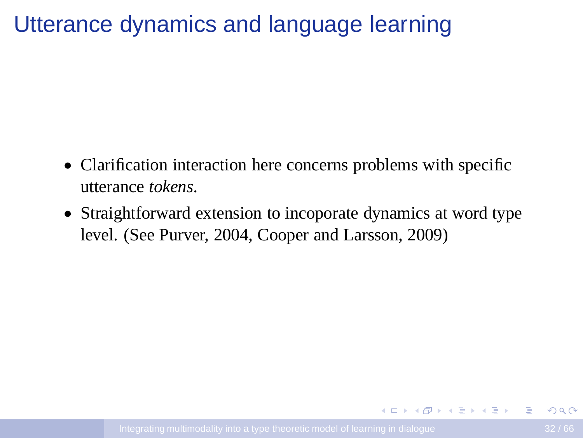## Utterance dynamics and language learning

- Clarification interaction here concerns problems with specific utterance *tokens*.
- Straightforward extension to incoporate dynamics at word type level. (See Purver, 2004, Cooper and Larsson, 2009)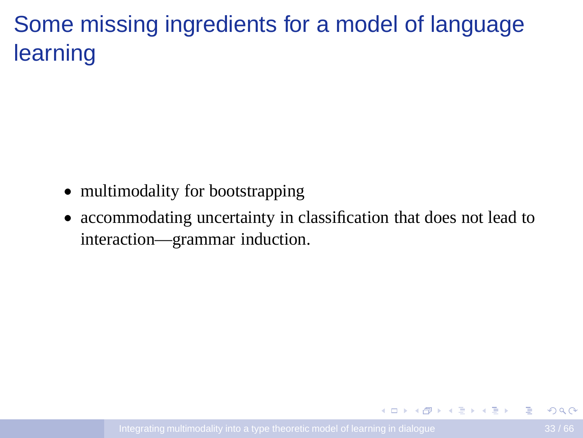# Some missing ingredients for a model of language learning

- multimodality for bootstrapping
- accommodating uncertainty in classification that does not lead to interaction—grammar induction.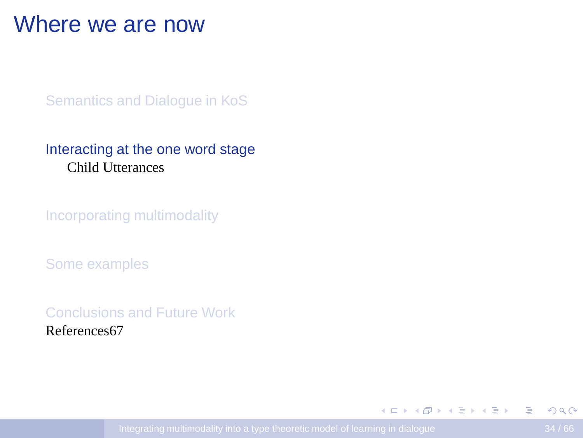#### Where we are now

[Semantics and Dialogue in KoS](#page-11-0)

#### [Interacting at the one word stage](#page-33-0) [Child Utterances](#page-34-0)

[Incorporating multimodality](#page-45-0)

[Some examples](#page-50-0)

[Conclusions and Future Work](#page-63-0) References67

<span id="page-33-0"></span> $\mathbf{E} = \mathbf{A} \oplus \mathbf{A} + \mathbf{A} \oplus \mathbf{A} + \mathbf{A} \oplus \mathbf{A} + \mathbf{A} \oplus \mathbf{A}$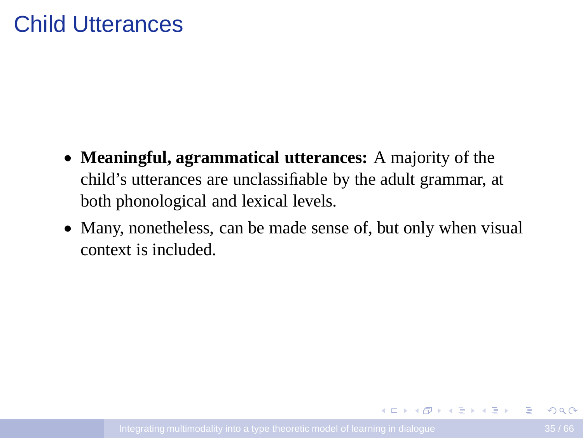#### Child Utterances

- **Meaningful, agrammatical utterances:** A majority of the child's utterances are unclassifiable by the adult grammar, at both phonological and lexical levels.
- Many, nonetheless, can be made sense of, but only when visual context is included.

<span id="page-34-0"></span>イロメ (例) マミメマミメーキー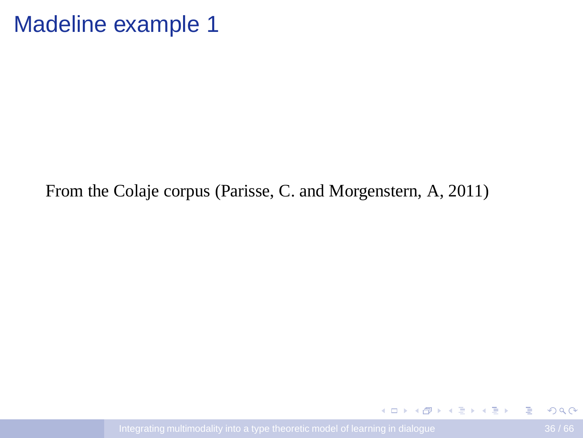#### Madeline example 1

From the Colaje corpus (Parisse, C. and Morgenstern, A, 2011)

 $\Rightarrow$ 

イロト イ押 トイヨ トイヨ トー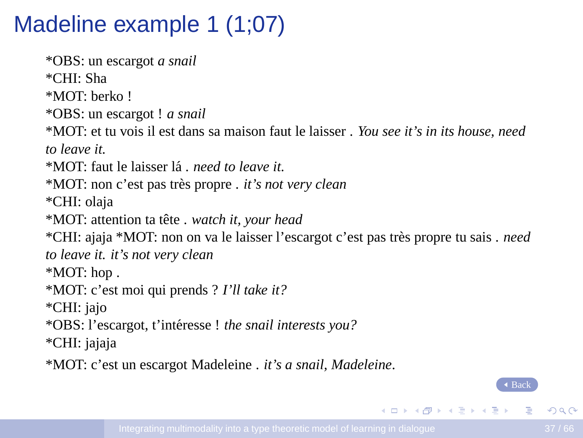# Madeline example 1 (1;07)

<span id="page-36-0"></span>\*OBS: un escargot *a snail* \*CHI: Sha \*MOT: berko ! \*OBS: un escargot ! *a snail* \*MOT: et tu vois il est dans sa maison faut le laisser . *You see it's in its house, need to leave it.* \*MOT: faut le laisser l´a . *need to leave it.* \*MOT: non c'est pas tr`es propre . *it's not very clean* \*CHI: olaja \*MOT: attention ta tˆete . *watch it, your head* \*CHI: ajaja \*MOT: non on va le laisser l'escargot c'est pas tr`es propre tu sais . *need to leave it. it's not very clean* \*MOT: hop . \*MOT: c'est moi qui prends ? *I'll take it?* \*CHI: jajo \*OBS: l'escargot, t'int´eresse ! *the snail interests you?* \*CHI: jajaja \*MOT: c'est un escargot Madeleine . *it's a snail, Madeleine*.

[Back](#page-51-0)

 $\equiv$ 

イロト イ押 トイヨ トイヨ トー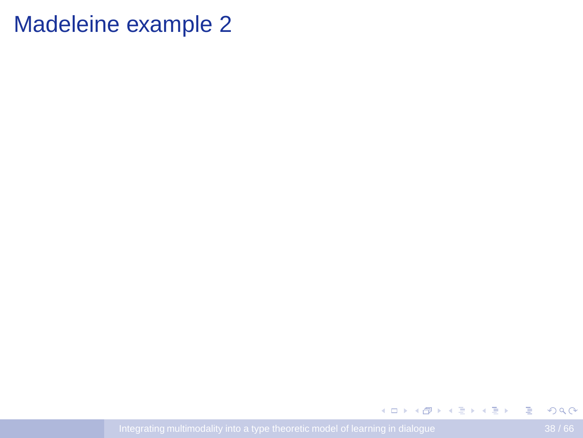#### Madeleine example 2

 $2990$ 

**K ロ ▶ K 倒 ▶ K 重 ▶ K 重 ▶ 一重**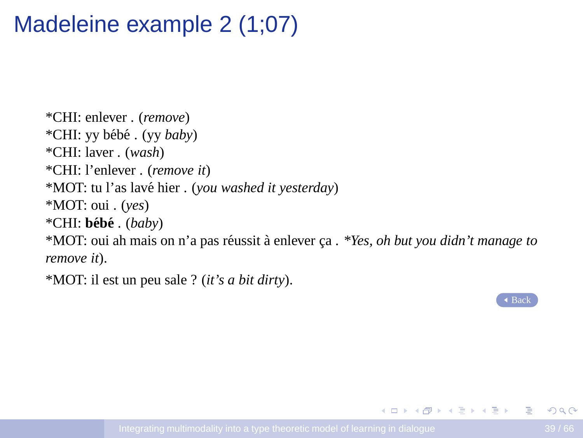# Madeleine example 2 (1;07)

\*CHI: enlever . (*remove*) \*CHI: yy b´eb´e . (yy *baby*) \*CHI: laver . (*wash*) \*CHI: l'enlever . (*remove it*) \*MOT: tu l'as lav´e hier . (*you washed it yesterday*) \*MOT: oui . (*yes*) \*CHI: **beb´ e´** . (*baby*) <sup>\*</sup>MOT: oui ah mais on n'a pas réussit à enlever ca . *\*Yes, oh but you didn't manage to remove it*).

\*MOT: il est un peu sale ? (*it's a bit dirty*).

 $\triangle$  [Back](#page-62-0)

**KORK ERKERKERKER**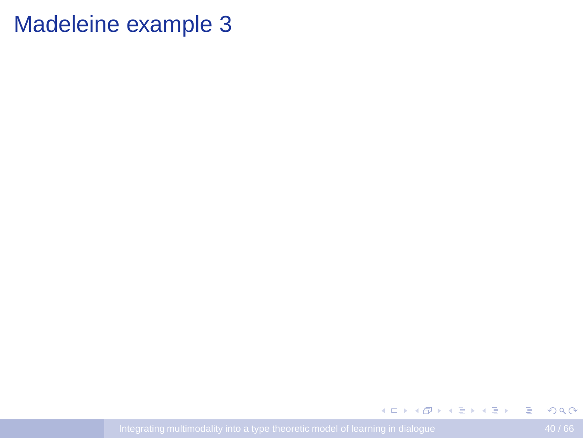#### Madeleine example 3

 $298$ 

**K ロ ▶ K 倒 ▶ K 重 ▶ K 重 ▶ 一重**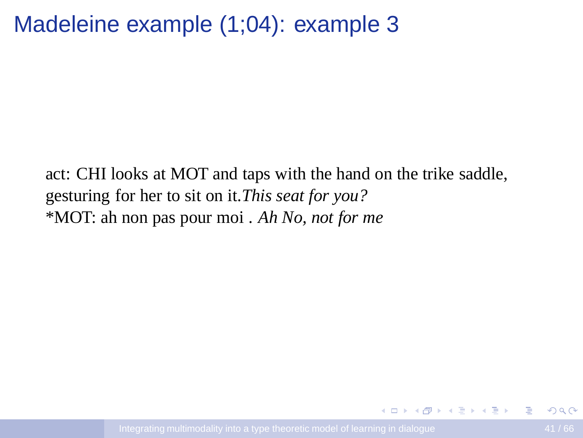## Madeleine example (1;04): example 3

<span id="page-40-0"></span>act: CHI looks at MOT and taps with the hand on the trike saddle, gesturing for her to sit on it.*This seat for you?* \*MOT: ah non pas pour moi . *Ah No, not for me*

G.

イロト イ押 トイヨ トイヨ トー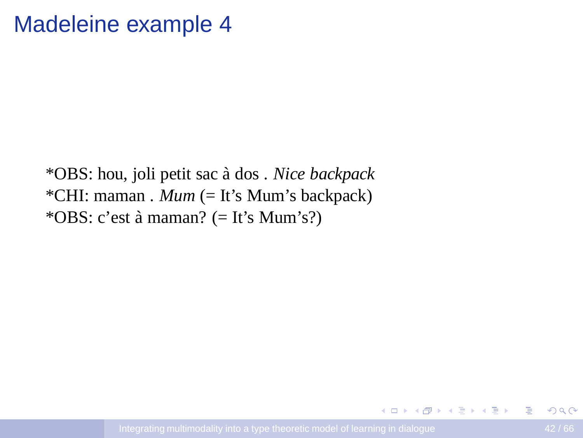#### Madeleine example 4

\*OBS: hou, joli petit sac `a dos . *Nice backpack* \*CHI: maman . *Mum* (= It's Mum's backpack) \*OBS: c'est à maman? (= It's Mum's?)

B

イロト イ押ト イヨト イヨト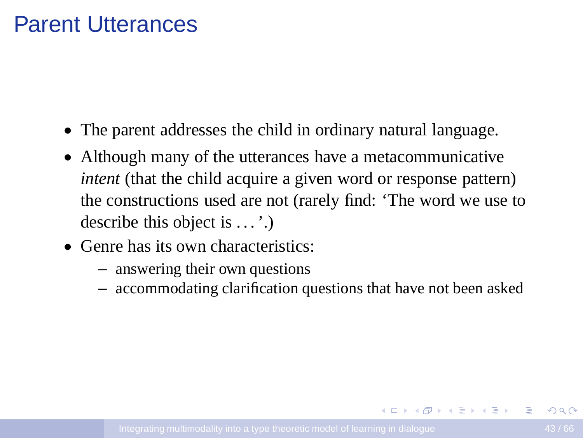#### Parent Utterances

- The parent addresses the child in ordinary natural language.
- Although many of the utterances have a metacommunicative *intent* (that the child acquire a given word or response pattern) the constructions used are not (rarely find: 'The word we use to describe this object is  $\dots$ .
- Genre has its own characteristics:
	- answering their own questions
	- accommodating clarification questions that have not been asked

イロメイタメイミメイミメーヨー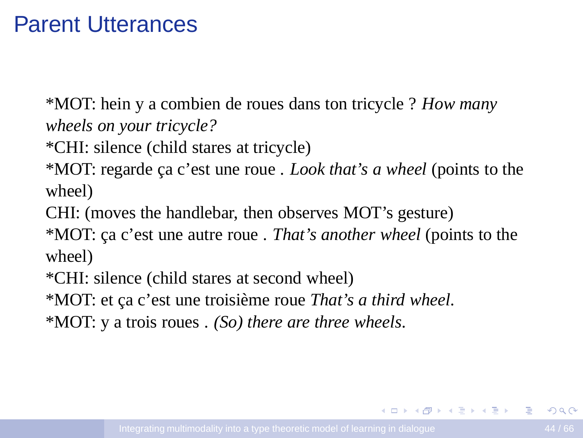#### Parent Utterances

\*MOT: hein y a combien de roues dans ton tricycle ? *How many wheels on your tricycle?*

\*CHI: silence (child stares at tricycle)

\*MOT: regarde ca c'est une roue . *Look that's a wheel* (points to the wheel)

CHI: (moves the handlebar, then observes MOT's gesture)

\*MOT: ca c'est une autre roue . *That's another wheel* (points to the wheel)

\*CHI: silence (child stares at second wheel)

\*MOT: et ça c'est une troisième roue *That's a third wheel*.

\*MOT: y a trois roues . *(So) there are three wheels*.

**KORK ERKERKERKER**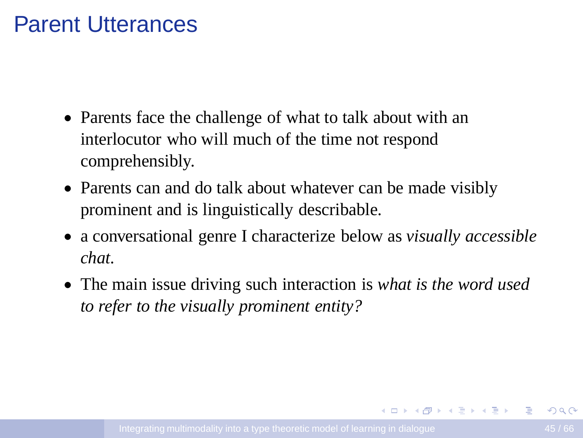#### Parent Utterances

- Parents face the challenge of what to talk about with an interlocutor who will much of the time not respond comprehensibly.
- Parents can and do talk about whatever can be made visibly prominent and is linguistically describable.
- a conversational genre I characterize below as *visually accessible chat*.
- The main issue driving such interaction is *what is the word used to refer to the visually prominent entity?*

<span id="page-44-0"></span>**KORK ERKERKERKER**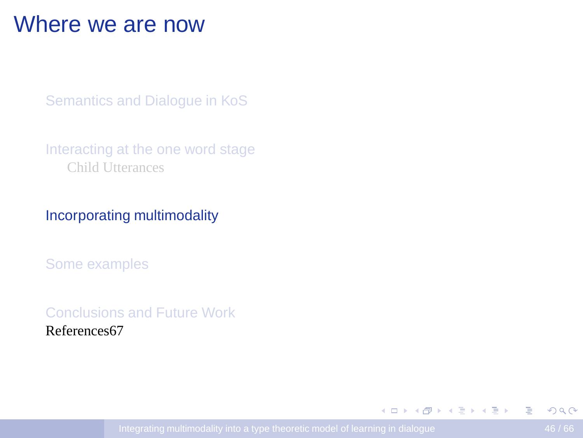#### Where we are now

[Semantics and Dialogue in KoS](#page-11-0)

[Interacting at the one word stage](#page-33-0) [Child Utterances](#page-34-0)

[Incorporating multimodality](#page-45-0)

[Some examples](#page-50-0)

[Conclusions and Future Work](#page-63-0) References67

<span id="page-45-0"></span> $\mathbf{E} = \mathbf{A} \oplus \mathbf{A} + \mathbf{A} \oplus \mathbf{A} + \mathbf{A} \oplus \mathbf{A} + \mathbf{A} \oplus \mathbf{A}$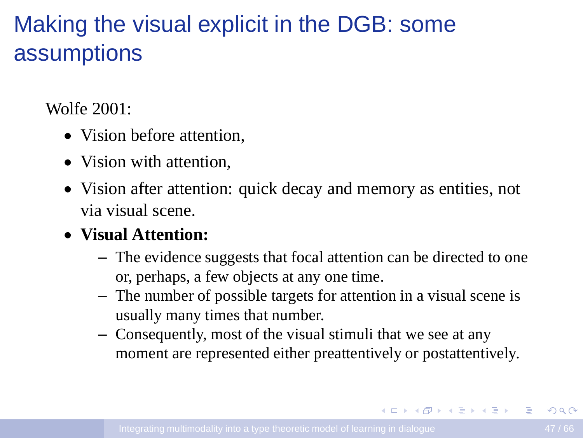# Making the visual explicit in the DGB: some assumptions

Wolfe 2001:

- Vision before attention.
- Vision with attention.
- Vision after attention: quick decay and memory as entities, not via visual scene.

#### • **Visual Attention:**

- The evidence suggests that focal attention can be directed to one or, perhaps, a few objects at any one time.
- The number of possible targets for attention in a visual scene is usually many times that number.
- Consequently, most of the visual stimuli that we see at any moment are represented either preattentively or postattentively.

イロンス 何メス ミンス ミンニミン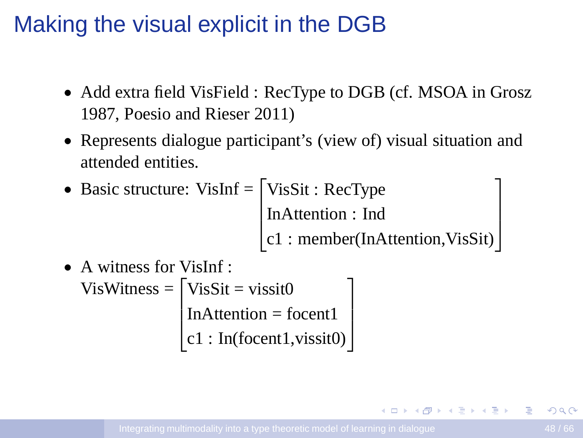### Making the visual explicit in the DGB

- Add extra field VisField : RecType to DGB (cf. MSOA in Grosz) 1987, Poesio and Rieser 2011)
- Represents dialogue participant's (view of) visual situation and attended entities.
- Basic structure: VisInf  $=$   $\lceil$  $\overline{\phantom{a}}$ VisSit : RecType InAttention : Ind c1 : member(InAttention,VisSit)  $\overline{1}$  $\overline{\phantom{a}}$
- A witness for VisInf : VisWitness  $=$  $\overline{\phantom{a}}$  $VisSit = vissit0$ InAttention = focent1 c1 : In(focent1,vissit0) 1  $\overline{\phantom{a}}$

<span id="page-47-0"></span>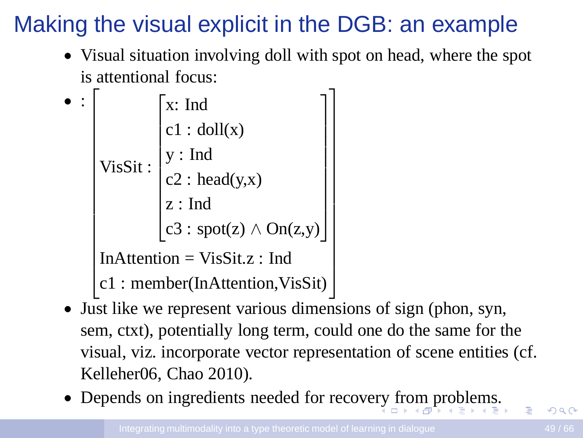# Making the visual explicit in the DGB: an example

• Visual situation involving doll with spot on head, where the spot is attentional focus:

|  |                                 | $\lceil x \rceil$ Ind                        |  |  |
|--|---------------------------------|----------------------------------------------|--|--|
|  | VisSit:                         | $c1 : \text{doll}(x)$                        |  |  |
|  |                                 |                                              |  |  |
|  |                                 | $y: Ind$<br>c2 : head(y,x)                   |  |  |
|  |                                 | z:Ind                                        |  |  |
|  |                                 | $\left[ c3 : spot(z) \wedge On(z,y) \right]$ |  |  |
|  | $InAttention = VisSit.z: Ind$   |                                              |  |  |
|  | c1: member(InAttention, VisSit) |                                              |  |  |

- Just like we represent various dimensions of sign (phon, syn, sem, ctxt), potentially long term, could one do the same for the visual, viz. incorporate vector representation of scene entities (cf. Kelleher06, Chao 2010).
- <span id="page-48-0"></span>• Depends on ingredients needed for recove[ry](#page-47-0) [fro](#page-49-0)[m](#page-48-0) [p](#page-49-0)[ro](#page-44-0)[b](#page-45-0)[l](#page-49-0)[e](#page-50-0)[m](#page-44-0)[s](#page-45-0)[.](#page-49-0)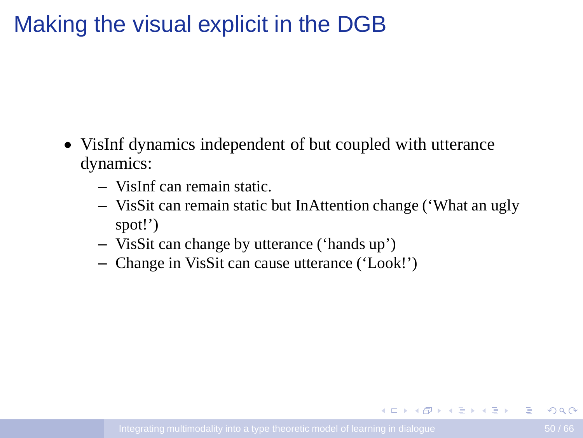## Making the visual explicit in the DGB

- VisInf dynamics independent of but coupled with utterance dynamics:
	- VisInf can remain static.
	- VisSit can remain static but InAttention change ('What an ugly spot!')
	- VisSit can change by utterance ('hands up')
	- Change in VisSit can cause utterance ('Look!')

<span id="page-49-0"></span>**KORK ERKERKERKER**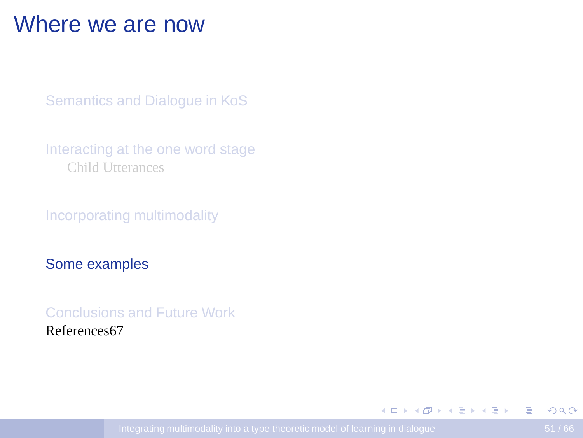#### Where we are now

[Semantics and Dialogue in KoS](#page-11-0)

[Interacting at the one word stage](#page-33-0) [Child Utterances](#page-34-0)

[Incorporating multimodality](#page-45-0)

[Some examples](#page-50-0)

[Conclusions and Future Work](#page-63-0) References67

<span id="page-50-0"></span>イロメイタメイミメイミメーヨー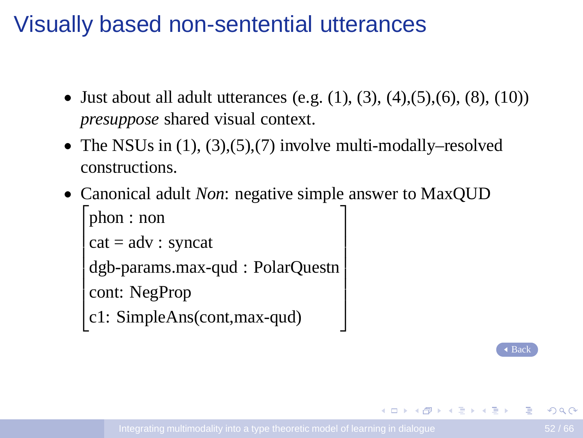# Visually based non-sentential utterances

<span id="page-51-0"></span>• Just about all adult utterances (e.g.  $(1), (3), (4), (5), (6), (8), (10)$ ) *presuppose* shared visual context.

> $\overline{1}$  $\overline{1}$  $\overline{1}$  $\overline{1}$  $\overline{1}$  $\overline{1}$

- The NSUs in  $(1)$ ,  $(3)$ ,  $(5)$ ,  $(7)$  involve multi-modally–resolved constructions.
- Canonical adult *Non*: negative simple answer to MaxQUD 1

```

phon : non
\vert cat = adv : syncat

dgb-params.max-qud : PolarQuestn

cont: NegProp
```
c1: SimpleAns(cont,max-qud)

[Back](#page-36-0)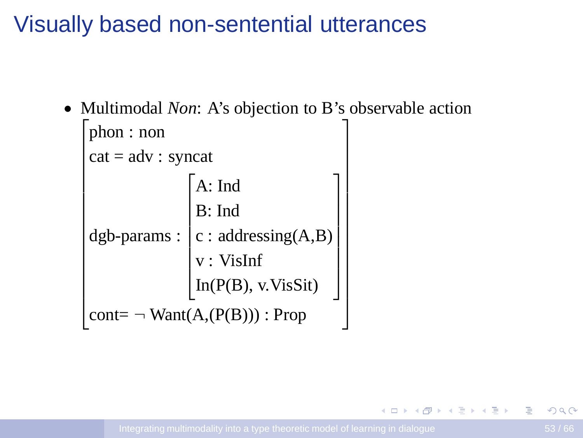## Visually based non-sentential utterances

• Multimodal *Non*: A's objection to B's observable action

```
\mathbf{I}\vert cat = adv : syncat\overline{1}\overline{1}\overline{1}

   phon : non
    dgb-params :

A: Ind

                                      B: Indc : addressing(A,B)
                                         v : VisInf
                                         In(P(B), v.VisSit)
                                                                                          \overline{1}

    \text{cont} = \neg \text{Want}(A, (P(B))) : \text{Prop}\overline{1}\overline{1}\overline{1}\overline{1}\overline{1}\overline{1}\overline{1}\overline{1}\overline{1}\overline{1}\mathbf{I}\overline{1}\mathbf{I}\overline{1}\overline{1}\overline{1}
```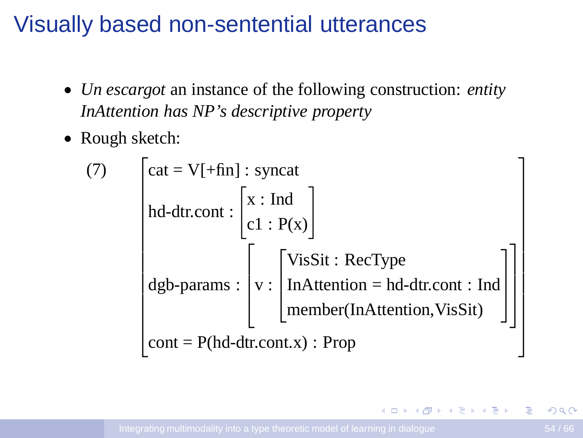## Visually based non-sentential utterances

- *Un escargot* an instance of the following construction: *entity InAttention has NP's descriptive property*
- Rough sketch:

(7) 
$$
\begin{bmatrix} cat = V[+fin] : syncat \\ hd-dtr.cont : \begin{bmatrix} x : Ind \\ c1 : P(x) \end{bmatrix} \\ dgb-params : \begin{bmatrix} v : \begin{bmatrix} Vissit : RecType \\ InAttention = hd-dtr.cont : Ind \\ member(InAttention, VisStt) \end{bmatrix} \end{bmatrix} \end{bmatrix}
$$
cont = P(hd-dtr.cont.x) : Prop

 $+ \Box + \overline{A}$ 

 $\mathbf{A}$  . The first set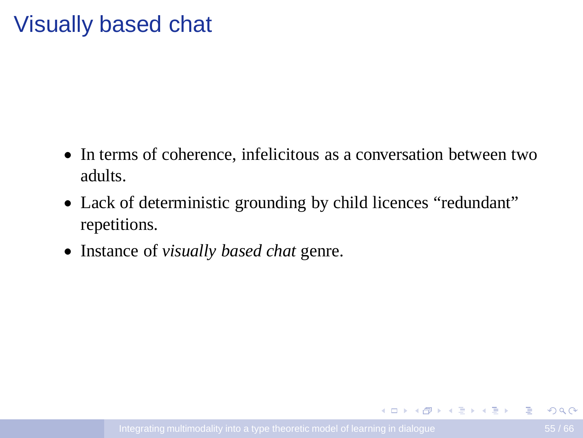## Visually based chat

- In terms of coherence, infelicitous as a conversation between two adults.
- Lack of deterministic grounding by child licences "redundant" repetitions.
- Instance of *visually based chat* genre.

<span id="page-54-0"></span>イロンス 何メス ミンス ミンニミン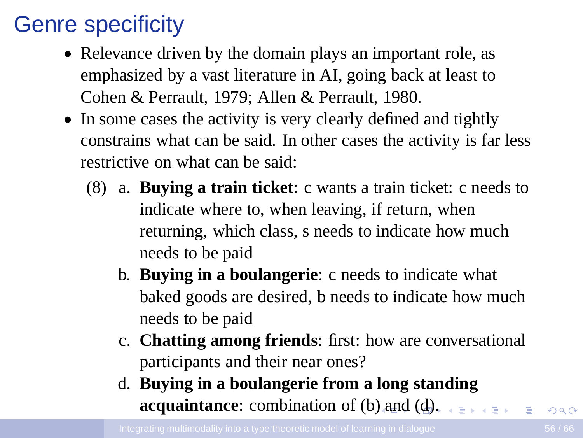# Genre specificity

- Relevance driven by the domain plays an important role, as emphasized by a vast literature in AI, going back at least to Cohen & Perrault, 1979; Allen & Perrault, 1980.
- <span id="page-55-0"></span>• In some cases the activity is very clearly defined and tightly constrains what can be said. In other cases the activity is far less restrictive on what can be said:
	- (8) a. **Buying a train ticket**: c wants a train ticket: c needs to indicate where to, when leaving, if return, when returning, which class, s needs to indicate how much needs to be paid
		- b. **Buying in a boulangerie**: c needs to indicate what baked goods are desired, b needs to indicate how much needs to be paid
		- c. **Chatting among friends**: first: how are conversational participants and their near ones?
		- d. **Buying in a boulangerie from a long standing acquaintance:** combination of (b[\) a](#page-54-0)[nd](#page-56-0) [\(](#page-54-0)[d\)](#page-55-0)[.](#page-56-0)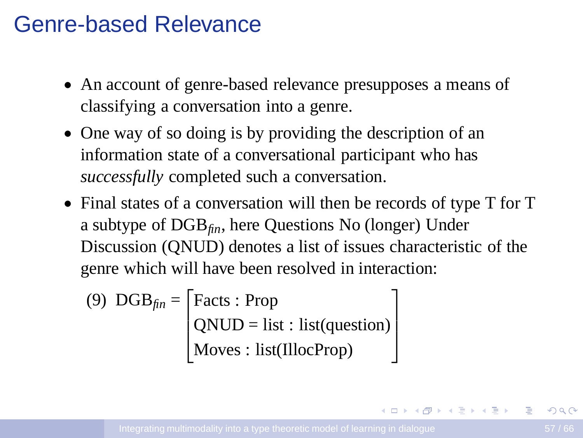#### Genre-based Relevance

- An account of genre-based relevance presupposes a means of classifying a conversation into a genre.
- One way of so doing is by providing the description of an information state of a conversational participant who has *successfully* completed such a conversation.
- Final states of a conversation will then be records of type T for T a subtype of DGB*fin*, here Questions No (longer) Under Discussion (QNUD) denotes a list of issues characteristic of the genre which will have been resolved in interaction:

(9) 
$$
DGB_{fin} = \begin{bmatrix} \text{Facts : Prop} \\ \text{QNUD = list : list(question)} \\ \text{Moves : list(IllocProp)} \end{bmatrix}
$$

<span id="page-56-0"></span>イロト イ押 トイヨ トイヨ トー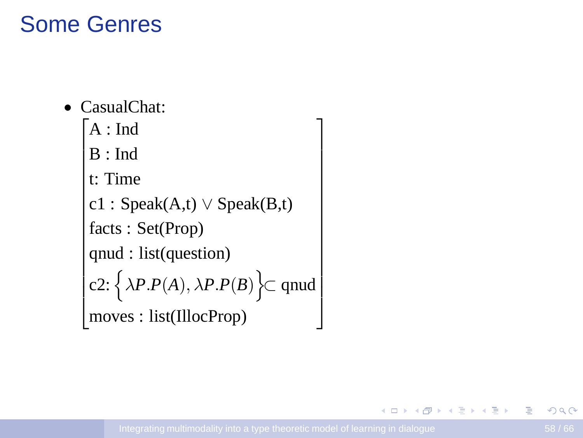# Some Genres

- CasualChat:
	- $\big| A : \text{Ind}$
	- $\vert B: \text{Ind}$
	- $\vert$  t: Time

c1 : 
$$
Spec(A,t) \vee Spec(B,t)
$$

facts : Set(Prop)

```
qnu: list(question)
```

$$
c2: \left\{ \lambda P.P(A), \lambda P.P(B) \right\} \subset \text{quad}
$$
  
moves: list(IllocProp)

 $\overline{1}$  $\mathbf{I}$  $\mathbf{I}$  $\mathbf{I}$  $\mathbf{I}$  $\overline{1}$  $\mathbf{I}$  $\overline{1}$  $\mathbf{I}$  $\mathbf{I}$  $\overline{1}$  $\mathbf{I}$  $\overline{1}$  $\mathbf{I}$  $\overline{1}$  $\overline{1}$ 

B

 $\mathbf{A} \equiv \mathbf{B} + \mathbf{A} \mathbf{B} + \mathbf{A} \mathbf{B} + \mathbf{A} \mathbf{B} + \mathbf{A}$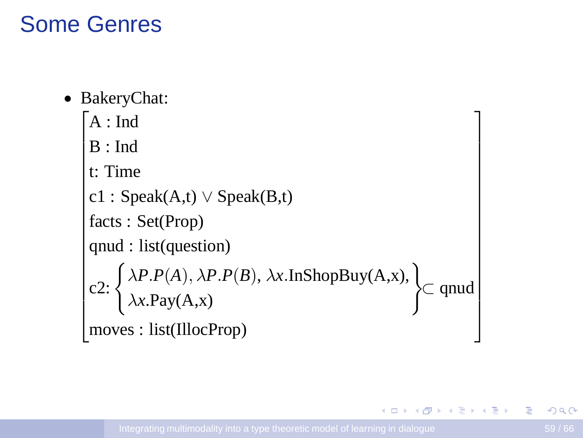### Some Genres

• BakeryChat:

```
\big| A : \text{Ind}\begin{bmatrix} B : \text{Ind} \\ t: \text{Time} \end{bmatrix}c1 : Speak(A,t) \vee Speak(B,t)

facts : Set(Prop)
\sqrt{\frac{1}{\text{quasi}}\cdot \text{dist}(\text{question})}

   B : Ind
    c2: \left\{\begin{matrix} \lambda P.P(A), \lambda P.P(B), \lambda x.\text{InShopBuy}(A,x), \\ \lambda x.\text{Pay}(A,x) \end{matrix}\right\} \subset \text{quad}moves : list(IllocProp)
                                                                                                                                                         \overline{1}\overline{1}\overline{1}\overline{1}\overline{1}\overline{1}\overline{1}\overline{1}\overline{1}\overline{1}
```
イロメ イ押メ イヨメ イヨメー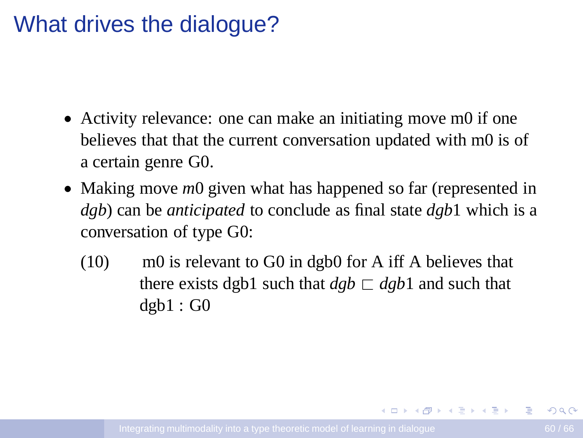#### What drives the dialogue?

- Activity relevance: one can make an initiating move m0 if one believes that that the current conversation updated with m0 is of a certain genre G0.
- Making move *m*0 given what has happened so far (represented in *dgb*) can be *anticipated* to conclude as final state *dgb*1 which is a conversation of type G0:
	- (10) m0 is relevant to G0 in dgb0 for A iff A believes that there exists dgb1 such that  $dgb \sqsubset dgb1$  and such that  $dgb1:GO$

イロンス 何メス ミンス ミンニミン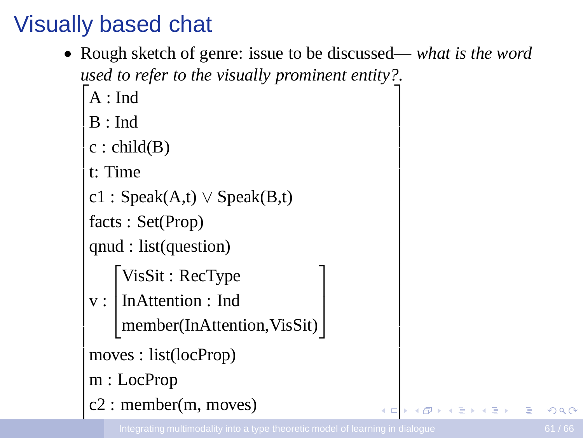# Visually based chat

• Rough sketch of genre: issue to be discussed— *what is the word used to refer to the visually prominent entity?*.  $\overline{1}$ 

> 1  $\overline{1}$

 $\overline{1}$  $\overline{1}$  $\overline{1}$  $\overline{1}$  $\overline{1}$  $\overline{1}$  $\overline{1}$  $\overline{1}$  $\overline{1}$  $\overline{1}$  $\overline{1}$  $\overline{1}$  $\overline{1}$  $\overline{1}$  $\overline{1}$  $\overline{1}$  $\overline{1}$  $\overline{1}$  $\overline{1}$  $\overline{1}$  $\overline{1}$  $\overline{1}$  $\overline{1}$  $\overline{1}$  $\overline{1}$  $\overline{1}$  $\overline{1}$ ╋

- $\big| A$  : Ind
- $|B:Ind$
- $\overline{1}$  $c : child(B)$  $\overline{1}$
- t: Time  $\overline{1}$

 $\overline{\phantom{a}}$  $\overline{1}$  $\overline{\phantom{a}}$  $\overline{\phantom{a}}$  $\overline{1}$  $\overline{\phantom{a}}$  $\overline{1}$ 

```
c1 : Speak(A,t) \vee Speak(B,t)
\overline{1}
```

```

facts : Set(Prop)
\overline{1}
```

```

qnud : list(question)
\overline{1}
```

```
\sqrt{ }VisSit : RecType
```
v :  $\vert$ InAttention : Ind

```
| member(InAttention, VisSit) |
```

```
\overline{1}\overline{1}\overline{1}moves : list(locProp)
```
- $\overline{1}$  $\overline{1}$ m : LocProp
- $|c2$ : member(m, moves)  $\overline{\phantom{a}}$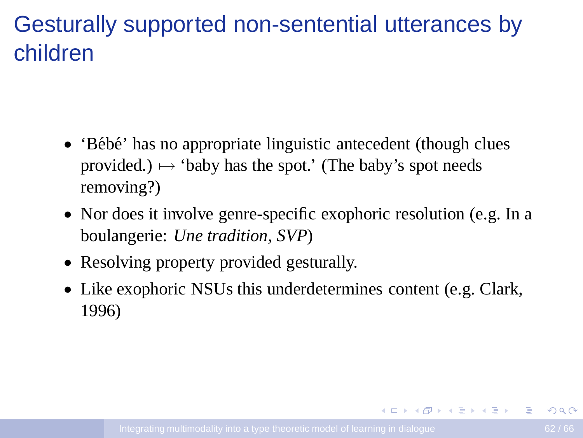# Gesturally supported non-sentential utterances by children

- $\bullet$  'Bébé' has no appropriate linguistic antecedent (though clues provided.)  $\mapsto$  'baby has the spot.' (The baby's spot needs removing?)
- Nor does it involve genre-specific exophoric resolution (e.g. In a boulangerie: *Une tradition, SVP*)
- Resolving property provided gesturally.
- Like exophoric NSUs this underdetermines content (e.g. Clark, 1996)

<span id="page-61-0"></span>イロンス 何メス ミンス ミンニミン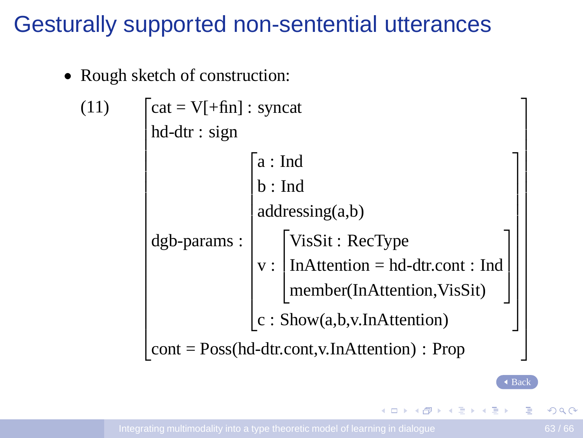#### Gesturally supported non-sentential utterances

<span id="page-62-0"></span>• Rough sketch of construction:

| (11) |                                                                          |                            |                                                                                                          |  |
|------|--------------------------------------------------------------------------|----------------------------|----------------------------------------------------------------------------------------------------------|--|
|      | $\begin{bmatrix} cat = V[ + fin] : syncat \\ hd-dr : sign \end{bmatrix}$ |                            |                                                                                                          |  |
|      |                                                                          | a:Ind                      |                                                                                                          |  |
|      |                                                                          | b: Ind                     |                                                                                                          |  |
|      |                                                                          | addressing(a,b)            |                                                                                                          |  |
|      | dgb-params:                                                              |                            | V: $\begin{bmatrix} Vissit : RecType \\ InAttention = hd-dtr.cont : Ind \\ & \cdots & SUS \end{bmatrix}$ |  |
|      |                                                                          |                            |                                                                                                          |  |
|      |                                                                          |                            | member(InAttention,VisSit)                                                                               |  |
|      |                                                                          | c: Show(a,b,v.InAttention) |                                                                                                          |  |
|      | $cont = Poss(hd-dtr.cont, v. InAttention)$ : Prop                        |                            |                                                                                                          |  |

 $\triangleleft$  [Back](#page-40-0)

Þ

 $\mathbf{A} \equiv \mathbf{B} + \mathbf{A} \mathbf{B} + \mathbf{A} \mathbf{B} + \mathbf{A} \mathbf{B} + \mathbf{A}$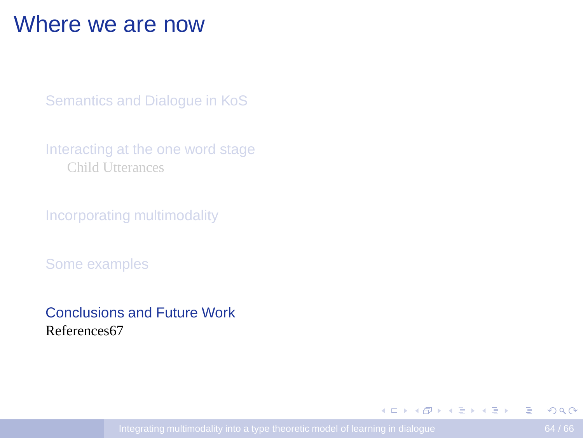#### Where we are now

[Semantics and Dialogue in KoS](#page-11-0)

[Interacting at the one word stage](#page-33-0) [Child Utterances](#page-34-0)

[Incorporating multimodality](#page-45-0)

[Some examples](#page-50-0)

[Conclusions and Future Work](#page-63-0) References67

<span id="page-63-0"></span> $\mathbf{E} = \mathbf{A} \oplus \mathbf{A} + \mathbf{A} \oplus \mathbf{A} + \mathbf{A} \oplus \mathbf{A} + \mathbf{A} \oplus \mathbf{A} + \mathbf{A} \oplus \mathbf{A} + \mathbf{A} \oplus \mathbf{A} + \mathbf{A} \oplus \mathbf{A} + \mathbf{A} \oplus \mathbf{A} + \mathbf{A} \oplus \mathbf{A} + \mathbf{A} \oplus \mathbf{A} + \mathbf{A} \oplus \mathbf{A} + \mathbf{A} \oplus \mathbf{A} + \mathbf{A} \oplus \mathbf{A} + \mathbf{A$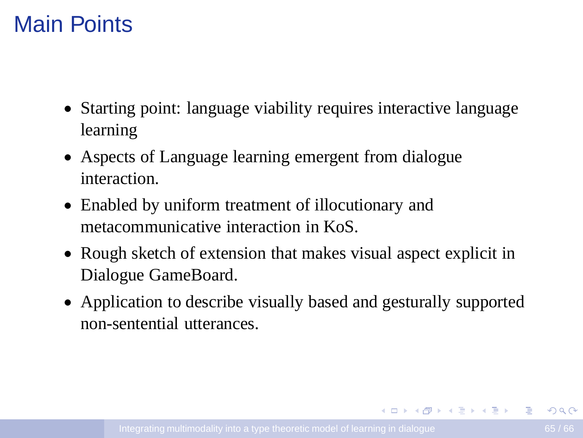## Main Points

- Starting point: language viability requires interactive language learning
- Aspects of Language learning emergent from dialogue interaction.
- Enabled by uniform treatment of illocutionary and metacommunicative interaction in KoS.
- Rough sketch of extension that makes visual aspect explicit in Dialogue GameBoard.
- Application to describe visually based and gesturally supported non-sentential utterances.

**KORK ERKERKERKER**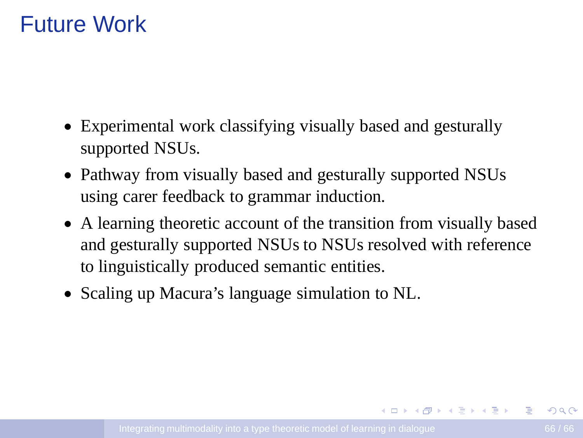## Future Work

- Experimental work classifying visually based and gesturally supported NSUs.
- Pathway from visually based and gesturally supported NSUs using carer feedback to grammar induction.
- A learning theoretic account of the transition from visually based and gesturally supported NSUs to NSUs resolved with reference to linguistically produced semantic entities.
- Scaling up Macura's language simulation to NL.

イロンス 何メス ミンス ミンニミン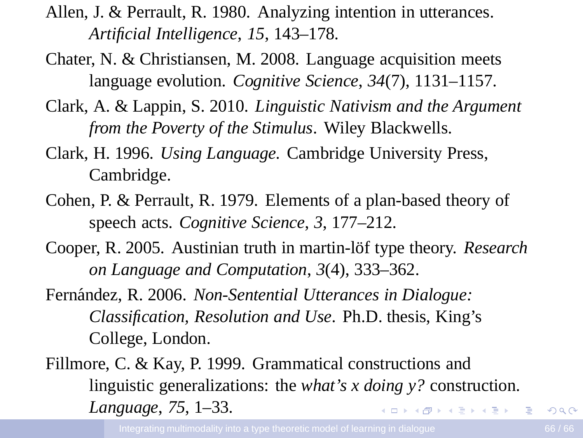- Allen, J. & Perrault, R. 1980. Analyzing intention in utterances. *Artificial Intelligence*, *15*, 143–178.
- Chater, N. & Christiansen, M. 2008. Language acquisition meets language evolution. *Cognitive Science*, *34*(7), 1131–1157.
- Clark, A. & Lappin, S. 2010. *Linguistic Nativism and the Argument from the Poverty of the Stimulus*. Wiley Blackwells.
- Clark, H. 1996. *Using Language*. Cambridge University Press, Cambridge.
- Cohen, P. & Perrault, R. 1979. Elements of a plan-based theory of speech acts. *Cognitive Science*, *3*, 177–212.
- Cooper, R. 2005. Austinian truth in martin-löf type theory. *Research on Language and Computation*, *3*(4), 333–362.
- Fern´andez, R. 2006. *Non-Sentential Utterances in Dialogue: Classification, Resolution and Use*. Ph.D. thesis, King's College, London.
- Fillmore, C. & Kay, P. 1999. Grammatical constructions and linguistic generalizations: the *what's x doing y?* construction. *Language*, *75*, 1–33. **KORK ERKERKERKER**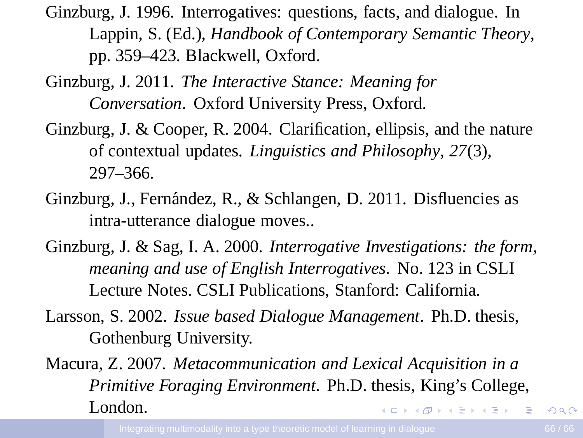Ginzburg, J. 1996. Interrogatives: questions, facts, and dialogue. In Lappin, S. (Ed.), *Handbook of Contemporary Semantic Theory*, pp. 359–423. Blackwell, Oxford.

- Ginzburg, J. 2011. *The Interactive Stance: Meaning for Conversation*. Oxford University Press, Oxford.
- Ginzburg, J. & Cooper, R. 2004. Clarification, ellipsis, and the nature of contextual updates. *Linguistics and Philosophy*, *27*(3), 297–366.
- Ginzburg, J., Fernández, R., & Schlangen, D. 2011. Disfluencies as intra-utterance dialogue moves..
- Ginzburg, J. & Sag, I. A. 2000. *Interrogative Investigations: the form, meaning and use of English Interrogatives*. No. 123 in CSLI Lecture Notes. CSLI Publications, Stanford: California.
- Larsson, S. 2002. *Issue based Dialogue Management*. Ph.D. thesis, Gothenburg University.
- Macura, Z. 2007. *Metacommunication and Lexical Acquisition in a Primitive Foraging Environment*. Ph.D. thesis, King's College, London. イロメイタメイミメイミメーヨー